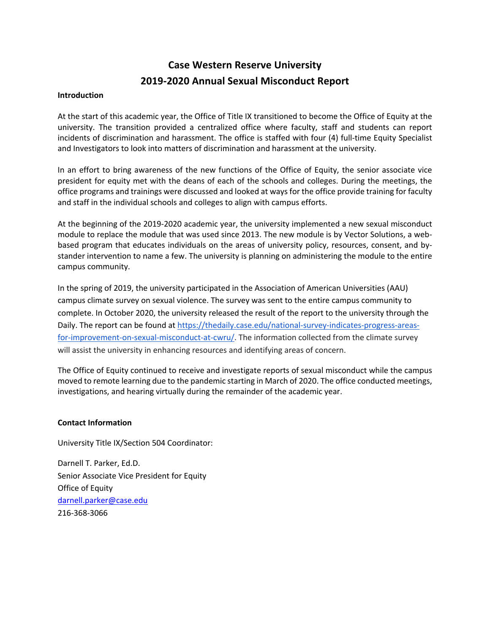# **Case Western Reserve University 2019-2020 Annual Sexual Misconduct Report**

#### **Introduction**

At the start of this academic year, the Office of Title IX transitioned to become the Office of Equity at the university. The transition provided a centralized office where faculty, staff and students can report incidents of discrimination and harassment. The office is staffed with four (4) full-time Equity Specialist and Investigators to look into matters of discrimination and harassment at the university.

In an effort to bring awareness of the new functions of the Office of Equity, the senior associate vice president for equity met with the deans of each of the schools and colleges. During the meetings, the office programs and trainings were discussed and looked at ways for the office provide training for faculty and staff in the individual schools and colleges to align with campus efforts.

At the beginning of the 2019-2020 academic year, the university implemented a new sexual misconduct module to replace the module that was used since 2013. The new module is by Vector Solutions, a webbased program that educates individuals on the areas of university policy, resources, consent, and bystander intervention to name a few. The university is planning on administering the module to the entire campus community.

In the spring of 2019, the university participated in the Association of American Universities (AAU) campus climate survey on sexual violence. The survey was sent to the entire campus community to complete. In October 2020, the university released the result of the report to the university through the Daily. The report can be found at https://thedaily.case.edu/national-survey-indicates-progress-areasfor-improvement-on-sexual-misconduct-at-cwru/. The information collected from the climate survey will assist the university in enhancing resources and identifying areas of concern.

The Office of Equity continued to receive and investigate reports of sexual misconduct while the campus moved to remote learning due to the pandemic starting in March of 2020. The office conducted meetings, investigations, and hearing virtually during the remainder of the academic year.

### **Contact Information**

University Title IX/Section 504 Coordinator:

Darnell T. Parker, Ed.D. Senior Associate Vice President for Equity Office of Equity darnell.parker@case.edu 216-368-3066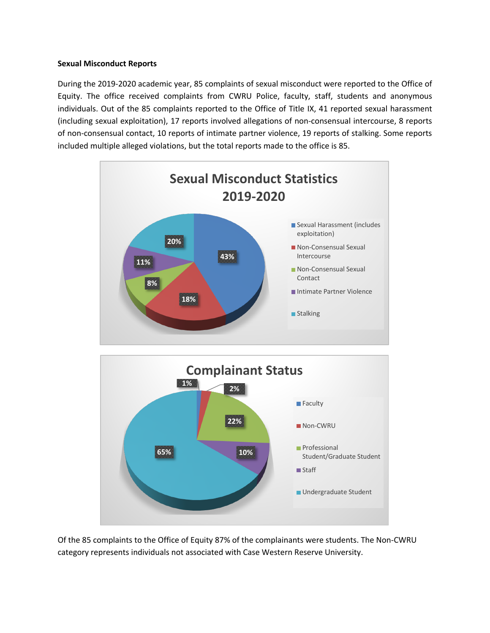### **Sexual Misconduct Reports**

During the 2019-2020 academic year, 85 complaints of sexual misconduct were reported to the Office of Equity. The office received complaints from CWRU Police, faculty, staff, students and anonymous individuals. Out of the 85 complaints reported to the Office of Title IX, 41 reported sexual harassment (including sexual exploitation), 17 reports involved allegations of non-consensual intercourse, 8 reports of non-consensual contact, 10 reports of intimate partner violence, 19 reports of stalking. Some reports included multiple alleged violations, but the total reports made to the office is 85.



Of the 85 complaints to the Office of Equity 87% of the complainants were students. The Non-CWRU category represents individuals not associated with Case Western Reserve University.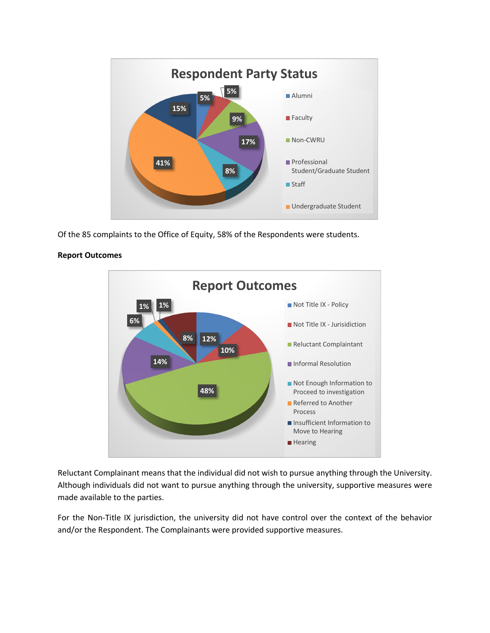

Of the 85 complaints to the Office of Equity, 58% of the Respondents were students.



### **Report Outcomes**

Reluctant Complainant means that the individual did not wish to pursue anything through the University. Although individuals did not want to pursue anything through the university, supportive measures were made available to the parties.

For the Non-Title IX jurisdiction, the university did not have control over the context of the behavior and/or the Respondent. The Complainants were provided supportive measures.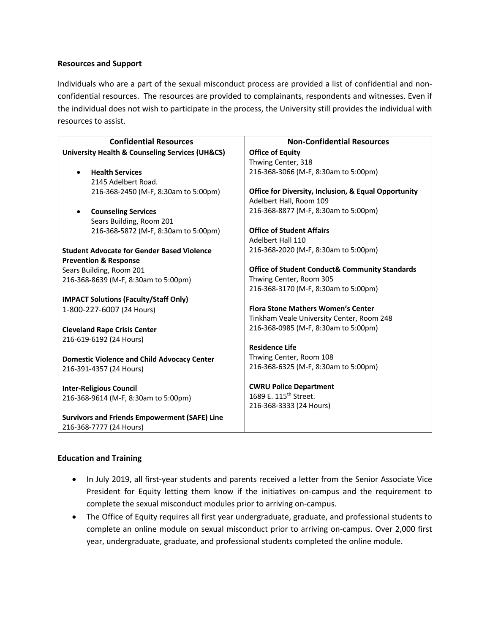#### **Resources and Support**

Individuals who are a part of the sexual misconduct process are provided a list of confidential and nonconfidential resources. The resources are provided to complainants, respondents and witnesses. Even if the individual does not wish to participate in the process, the University still provides the individual with resources to assist.

| <b>Confidential Resources</b>                                  | <b>Non-Confidential Resources</b>                         |
|----------------------------------------------------------------|-----------------------------------------------------------|
| <b>University Health &amp; Counseling Services (UH&amp;CS)</b> | <b>Office of Equity</b>                                   |
|                                                                | Thwing Center, 318                                        |
| <b>Health Services</b>                                         | 216-368-3066 (M-F, 8:30am to 5:00pm)                      |
| 2145 Adelbert Road.                                            |                                                           |
| 216-368-2450 (M-F, 8:30am to 5:00pm)                           | Office for Diversity, Inclusion, & Equal Opportunity      |
|                                                                | Adelbert Hall, Room 109                                   |
| <b>Counseling Services</b>                                     | 216-368-8877 (M-F, 8:30am to 5:00pm)                      |
| Sears Building, Room 201                                       |                                                           |
| 216-368-5872 (M-F, 8:30am to 5:00pm)                           | <b>Office of Student Affairs</b>                          |
|                                                                | Adelbert Hall 110                                         |
| <b>Student Advocate for Gender Based Violence</b>              | 216-368-2020 (M-F, 8:30am to 5:00pm)                      |
| <b>Prevention &amp; Response</b>                               |                                                           |
| Sears Building, Room 201                                       | <b>Office of Student Conduct&amp; Community Standards</b> |
| 216-368-8639 (M-F, 8:30am to 5:00pm)                           | Thwing Center, Room 305                                   |
|                                                                | 216-368-3170 (M-F, 8:30am to 5:00pm)                      |
| <b>IMPACT Solutions (Faculty/Staff Only)</b>                   |                                                           |
| 1-800-227-6007 (24 Hours)                                      | <b>Flora Stone Mathers Women's Center</b>                 |
|                                                                | Tinkham Veale University Center, Room 248                 |
| <b>Cleveland Rape Crisis Center</b>                            | 216-368-0985 (M-F, 8:30am to 5:00pm)                      |
| 216-619-6192 (24 Hours)                                        |                                                           |
|                                                                | <b>Residence Life</b>                                     |
| <b>Domestic Violence and Child Advocacy Center</b>             | Thwing Center, Room 108                                   |
| 216-391-4357 (24 Hours)                                        | 216-368-6325 (M-F, 8:30am to 5:00pm)                      |
|                                                                |                                                           |
| <b>Inter-Religious Council</b>                                 | <b>CWRU Police Department</b>                             |
| 216-368-9614 (M-F, 8:30am to 5:00pm)                           | 1689 E. 115 <sup>th</sup> Street.                         |
|                                                                | 216-368-3333 (24 Hours)                                   |
| <b>Survivors and Friends Empowerment (SAFE) Line</b>           |                                                           |
| 216-368-7777 (24 Hours)                                        |                                                           |

#### **Education and Training**

- In July 2019, all first-year students and parents received a letter from the Senior Associate Vice President for Equity letting them know if the initiatives on-campus and the requirement to complete the sexual misconduct modules prior to arriving on-campus.
- The Office of Equity requires all first year undergraduate, graduate, and professional students to complete an online module on sexual misconduct prior to arriving on-campus. Over 2,000 first year, undergraduate, graduate, and professional students completed the online module.